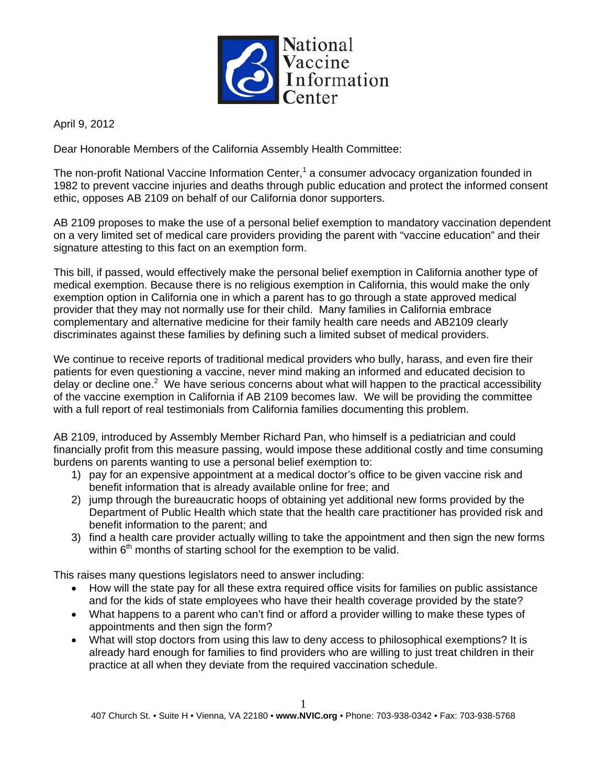

April 9, 2012

Dear Honorable Members of the California Assembly Health Committee:

The non-profit National Vaccine Information Center,<sup>1</sup> a consumer advocacy organization founded in 1982 to prevent vaccine injuries and deaths through public education and protect the informed consent ethic, opposes AB 2109 on behalf of our California donor supporters.

AB 2109 proposes to make the use of a personal belief exemption to mandatory vaccination dependent on a very limited set of medical care providers providing the parent with "vaccine education" and their signature attesting to this fact on an exemption form.

This bill, if passed, would effectively make the personal belief exemption in California another type of medical exemption. Because there is no religious exemption in California, this would make the only exemption option in California one in which a parent has to go through a state approved medical provider that they may not normally use for their child. Many families in California embrace complementary and alternative medicine for their family health care needs and AB2109 clearly discriminates against these families by defining such a limited subset of medical providers.

We continue to receive reports of traditional medical providers who bully, harass, and even fire their patients for even questioning a vaccine, never mind making an informed and educated decision to delay or decline one.<sup>2</sup> We have serious concerns about what will happen to the practical accessibility of the vaccine exemption in California if AB 2109 becomes law. We will be providing the committee with a full report of real testimonials from California families documenting this problem.

AB 2109, introduced by Assembly Member Richard Pan, who himself is a pediatrician and could financially profit from this measure passing, would impose these additional costly and time consuming burdens on parents wanting to use a personal belief exemption to:

- 1) pay for an expensive appointment at a medical doctor's office to be given vaccine risk and benefit information that is already available online for free; and
- 2) jump through the bureaucratic hoops of obtaining yet additional new forms provided by the Department of Public Health which state that the health care practitioner has provided risk and benefit information to the parent; and
- 3) find a health care provider actually willing to take the appointment and then sign the new forms within  $6<sup>th</sup>$  months of starting school for the exemption to be valid.

This raises many questions legislators need to answer including:

- How will the state pay for all these extra required office visits for families on public assistance and for the kids of state employees who have their health coverage provided by the state?
- What happens to a parent who can't find or afford a provider willing to make these types of appointments and then sign the form?
- What will stop doctors from using this law to deny access to philosophical exemptions? It is already hard enough for families to find providers who are willing to just treat children in their practice at all when they deviate from the required vaccination schedule.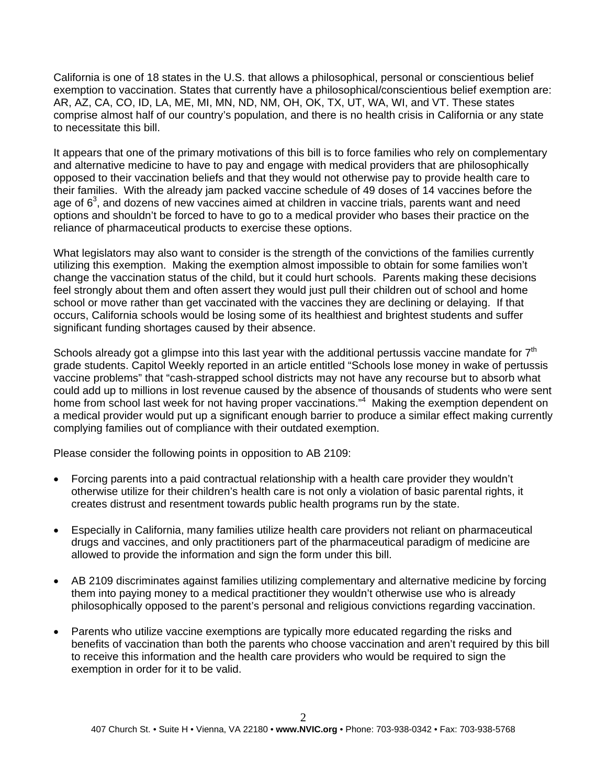California is one of 18 states in the U.S. that allows a philosophical, personal or conscientious belief exemption to vaccination. States that currently have a philosophical/conscientious belief exemption are: AR, AZ, CA, CO, ID, LA, ME, MI, MN, ND, NM, OH, OK, TX, UT, WA, WI, and VT. These states comprise almost half of our country's population, and there is no health crisis in California or any state to necessitate this bill.

It appears that one of the primary motivations of this bill is to force families who rely on complementary and alternative medicine to have to pay and engage with medical providers that are philosophically opposed to their vaccination beliefs and that they would not otherwise pay to provide health care to their families. With the already jam packed vaccine schedule of 49 doses of 14 vaccines before the age of  $6<sup>3</sup>$ , and dozens of new vaccines aimed at children in vaccine trials, parents want and need options and shouldn't be forced to have to go to a medical provider who bases their practice on the reliance of pharmaceutical products to exercise these options.

What legislators may also want to consider is the strength of the convictions of the families currently utilizing this exemption. Making the exemption almost impossible to obtain for some families won't change the vaccination status of the child, but it could hurt schools. Parents making these decisions feel strongly about them and often assert they would just pull their children out of school and home school or move rather than get vaccinated with the vaccines they are declining or delaying. If that occurs, California schools would be losing some of its healthiest and brightest students and suffer significant funding shortages caused by their absence.

Schools already got a glimpse into this last year with the additional pertussis vaccine mandate for  $7<sup>th</sup>$ grade students. Capitol Weekly reported in an article entitled "Schools lose money in wake of pertussis vaccine problems" that "cash-strapped school districts may not have any recourse but to absorb what could add up to millions in lost revenue caused by the absence of thousands of students who were sent home from school last week for not having proper vaccinations."<sup>4</sup> Making the exemption dependent on a medical provider would put up a significant enough barrier to produce a similar effect making currently complying families out of compliance with their outdated exemption.

Please consider the following points in opposition to AB 2109:

- Forcing parents into a paid contractual relationship with a health care provider they wouldn't otherwise utilize for their children's health care is not only a violation of basic parental rights, it creates distrust and resentment towards public health programs run by the state.
- Especially in California, many families utilize health care providers not reliant on pharmaceutical drugs and vaccines, and only practitioners part of the pharmaceutical paradigm of medicine are allowed to provide the information and sign the form under this bill.
- AB 2109 discriminates against families utilizing complementary and alternative medicine by forcing them into paying money to a medical practitioner they wouldn't otherwise use who is already philosophically opposed to the parent's personal and religious convictions regarding vaccination.
- Parents who utilize vaccine exemptions are typically more educated regarding the risks and benefits of vaccination than both the parents who choose vaccination and aren't required by this bill to receive this information and the health care providers who would be required to sign the exemption in order for it to be valid.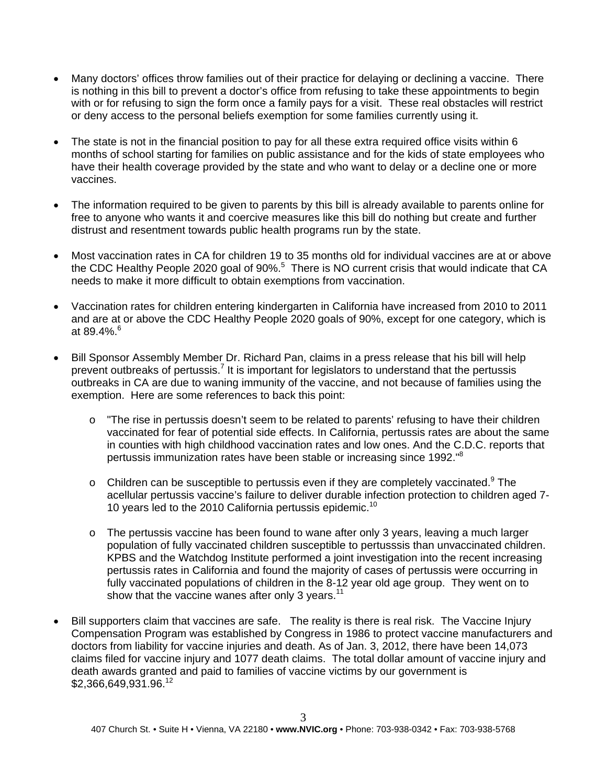- Many doctors' offices throw families out of their practice for delaying or declining a vaccine. There is nothing in this bill to prevent a doctor's office from refusing to take these appointments to begin with or for refusing to sign the form once a family pays for a visit. These real obstacles will restrict or deny access to the personal beliefs exemption for some families currently using it.
- The state is not in the financial position to pay for all these extra required office visits within 6 months of school starting for families on public assistance and for the kids of state employees who have their health coverage provided by the state and who want to delay or a decline one or more vaccines.
- The information required to be given to parents by this bill is already available to parents online for free to anyone who wants it and coercive measures like this bill do nothing but create and further distrust and resentment towards public health programs run by the state.
- Most vaccination rates in CA for children 19 to 35 months old for individual vaccines are at or above the CDC Healthy People 2020 goal of 90%.<sup>5</sup> There is NO current crisis that would indicate that CA needs to make it more difficult to obtain exemptions from vaccination.
- Vaccination rates for children entering kindergarten in California have increased from 2010 to 2011 and are at or above the CDC Healthy People 2020 goals of 90%, except for one category, which is at 89.4%. $^{6}$
- Bill Sponsor Assembly Member Dr. Richard Pan, claims in a press release that his bill will help prevent outbreaks of pertussis.<sup>7</sup> It is important for legislators to understand that the pertussis outbreaks in CA are due to waning immunity of the vaccine, and not because of families using the exemption. Here are some references to back this point:
	- o "The rise in pertussis doesn't seem to be related to parents' refusing to have their children vaccinated for fear of potential side effects. In California, pertussis rates are about the same in counties with high childhood vaccination rates and low ones. And the C.D.C. reports that pertussis immunization rates have been stable or increasing since 1992."8
	- $\circ$  Children can be susceptible to pertussis even if they are completely vaccinated. <sup>9</sup> The acellular pertussis vaccine's failure to deliver durable infection protection to children aged 7- 10 years led to the 2010 California pertussis epidemic.<sup>10</sup>
	- $\circ$  The pertussis vaccine has been found to wane after only 3 years, leaving a much larger population of fully vaccinated children susceptible to pertusssis than unvaccinated children. KPBS and the Watchdog Institute performed a joint investigation into the recent increasing pertussis rates in California and found the majority of cases of pertussis were occurring in fully vaccinated populations of children in the 8-12 year old age group. They went on to show that the vaccine wanes after only 3 years.<sup>11</sup>
- Bill supporters claim that vaccines are safe. The reality is there is real risk. The Vaccine Injury Compensation Program was established by Congress in 1986 to protect vaccine manufacturers and doctors from liability for vaccine injuries and death. As of Jan. 3, 2012, there have been 14,073 claims filed for vaccine injury and 1077 death claims. The total dollar amount of vaccine injury and death awards granted and paid to families of vaccine victims by our government is \$2,366,649,931.96.<sup>12</sup>